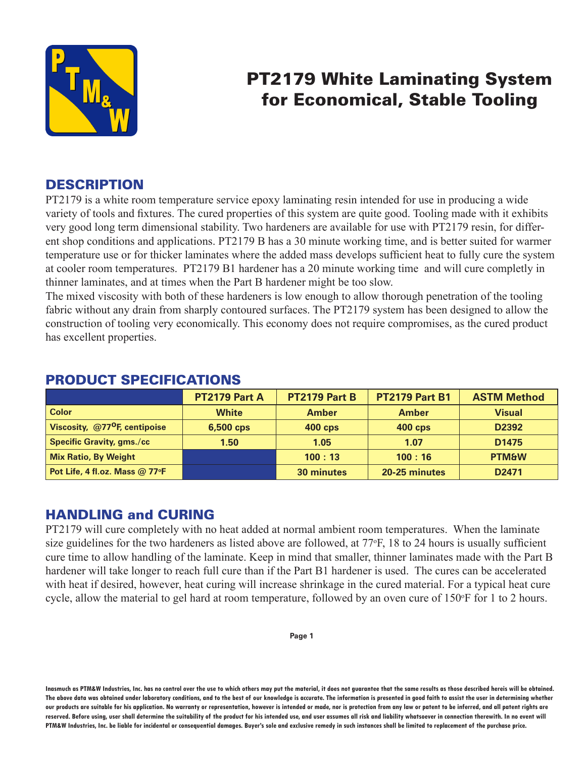

# PT2179 White Laminating System for Economical, Stable Tooling

# **DESCRIPTION**

PT2179 is a white room temperature service epoxy laminating resin intended for use in producing a wide variety of tools and fixtures. The cured properties of this system are quite good. Tooling made with it exhibits very good long term dimensional stability. Two hardeners are available for use with PT2179 resin, for different shop conditions and applications. PT2179 B has a 30 minute working time, and is better suited for warmer temperature use or for thicker laminates where the added mass develops sufficient heat to fully cure the system at cooler room temperatures. PT2179 B1 hardener has a 20 minute working time and will cure completly in thinner laminates, and at times when the Part B hardener might be too slow.

The mixed viscosity with both of these hardeners is low enough to allow thorough penetration of the tooling fabric without any drain from sharply contoured surfaces. The PT2179 system has been designed to allow the construction of tooling very economically. This economy does not require compromises, as the cured product has excellent properties.

|                                           | PT2179 Part A | <b>PT2179 Part B</b> | <b>PT2179 Part B1</b> | <b>ASTM Method</b> |
|-------------------------------------------|---------------|----------------------|-----------------------|--------------------|
| <b>Color</b>                              | <b>White</b>  | <b>Amber</b>         | <b>Amber</b>          | <b>Visual</b>      |
| Viscosity, @77 <sup>o</sup> F, centipoise | 6,500 cps     | <b>400 cps</b>       | <b>400 cps</b>        | D <sub>2392</sub>  |
| <b>Specific Gravity, gms./cc</b>          | 1.50          | 1.05                 | 1.07                  | D <sub>1475</sub>  |
| <b>Mix Ratio, By Weight</b>               |               | 100:13               | 100:16                | <b>PTM&amp;W</b>   |
| Pot Life, 4 fl.oz. Mass @ 77°F            |               | 30 minutes           | 20-25 minutes         | D <sub>2471</sub>  |

# PRODUCT SPECIFICATIONS

# HANDLING and CURING

PT2179 will cure completely with no heat added at normal ambient room temperatures. When the laminate size guidelines for the two hardeners as listed above are followed, at 77°F, 18 to 24 hours is usually sufficient cure time to allow handling of the laminate. Keep in mind that smaller, thinner laminates made with the Part B hardener will take longer to reach full cure than if the Part B1 hardener is used. The cures can be accelerated with heat if desired, however, heat curing will increase shrinkage in the cured material. For a typical heat cure cycle, allow the material to gel hard at room temperature, followed by an oven cure of 150°F for 1 to 2 hours.

**Inasmuch as PTM&W Industries, Inc. has no control over the use to which others may put the material, it does not guarantee that the same results as those described hereis will be obtained. The above data was obtained under laboratory conditions, and to the best of our knowledge is accurate. The information is presented in good faith to assist the user in determining whether our products are suitable for his application. No warranty or representation, however is intended or made, nor is protection from any law or patent to be inferred, and all patent rights are**  reserved. Before using, user shall determine the suitability of the product for his intended use, and user assumes all risk and liability whatsoever in connection therewith. In no event will **PTM&W Industries, Inc. be liable for incidental or consequential damages. Buyer's sole and exclusive remedy in such instances shall be limited to replacement of the purchase price.**